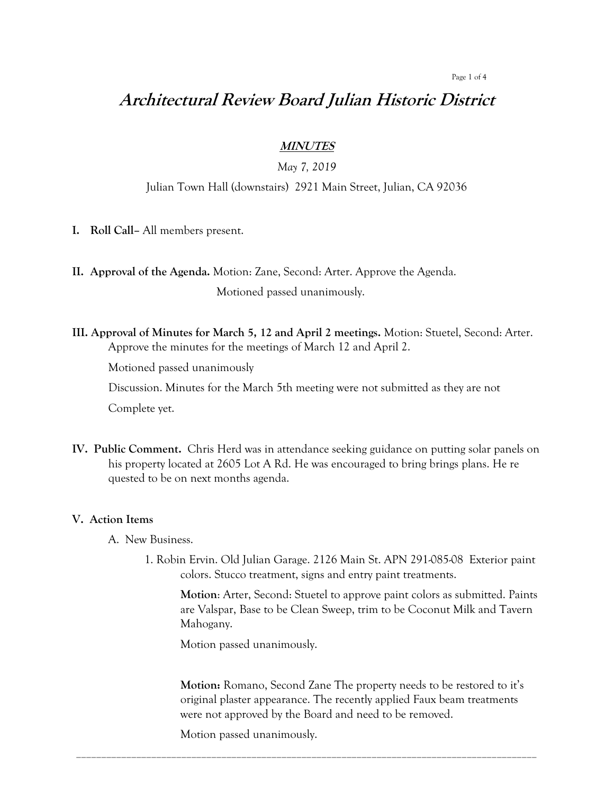#### Page 1 of 4

# **Architectural Review Board Julian Historic District**

### **MINUTES**

## *May 7, 2019*

### Julian Town Hall (downstairs) 2921 Main Street, Julian, CA 92036

**I. Roll Call–** All members present.

**II. Approval of the Agenda.** Motion: Zane, Second: Arter. Approve the Agenda.

Motioned passed unanimously.

**III. Approval of Minutes for March 5, 12 and April 2 meetings.** Motion: Stuetel, Second: Arter. Approve the minutes for the meetings of March 12 and April 2.

Motioned passed unanimously

Discussion. Minutes for the March 5th meeting were not submitted as they are not

Complete yet.

**IV. Public Comment.** Chris Herd was in attendance seeking guidance on putting solar panels on his property located at 2605 Lot A Rd. He was encouraged to bring brings plans. He re quested to be on next months agenda.

#### **V. Action Items**

A. New Business.

1. Robin Ervin. Old Julian Garage. 2126 Main St. APN 291-085-08 Exterior paint colors. Stucco treatment, signs and entry paint treatments.

**Motion**: Arter, Second: Stuetel to approve paint colors as submitted. Paints are Valspar, Base to be Clean Sweep, trim to be Coconut Milk and Tavern Mahogany.

Motion passed unanimously.

**Motion:** Romano, Second Zane The property needs to be restored to it's original plaster appearance. The recently applied Faux beam treatments were not approved by the Board and need to be removed.

\_\_\_\_\_\_\_\_\_\_\_\_\_\_\_\_\_\_\_\_\_\_\_\_\_\_\_\_\_\_\_\_\_\_\_\_\_\_\_\_\_\_\_\_\_\_\_\_\_\_\_\_\_\_\_\_\_\_\_\_\_\_\_\_\_\_\_\_\_\_\_\_\_\_\_\_\_\_\_\_\_\_\_\_\_\_\_\_\_\_\_\_

Motion passed unanimously.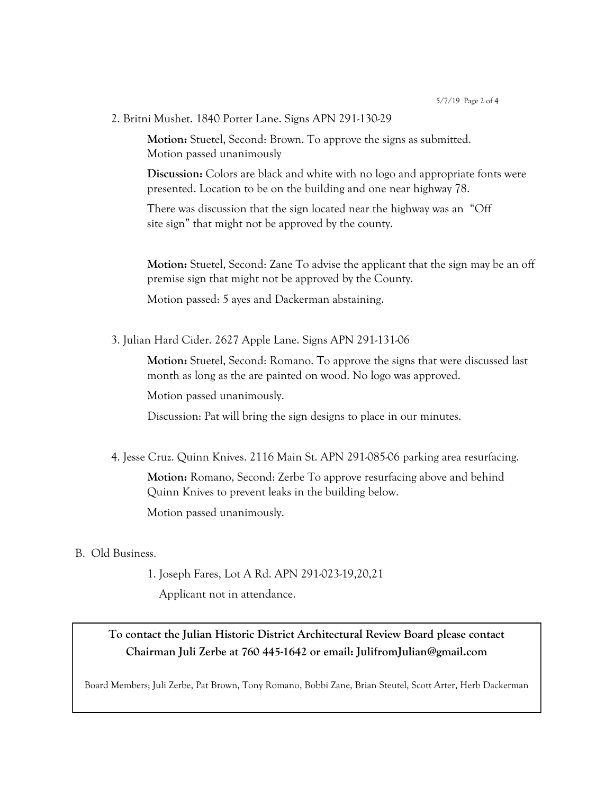2. Britni Mushet. 1840 Porter Lane. Signs APN 291-130-29

**Motion:** Stuetel, Second: Brown. To approve the signs as submitted. Motion passed unanimously

**Discussion:** Colors are black and white with no logo and appropriate fonts were presented. Location to be on the building and one near highway 78.

There was discussion that the sign located near the highway was an "Off site sign" that might not be approved by the county.

**Motion:** Stuetel, Second: Zane To advise the applicant that the sign may be an off premise sign that might not be approved by the County.

Motion passed: 5 ayes and Dackerman abstaining.

3. Julian Hard Cider. 2627 Apple Lane. Signs APN 291-131-06

**Motion:** Stuetel, Second: Romano. To approve the signs that were discussed last month as long as the are painted on wood. No logo was approved.

Motion passed unanimously.

Discussion: Pat will bring the sign designs to place in our minutes.

4. Jesse Cruz. Quinn Knives. 2116 Main St. APN 291-085-06 parking area resurfacing.

**Motion:** Romano, Second: Zerbe To approve resurfacing above and behind Quinn Knives to prevent leaks in the building below.

Motion passed unanimously.

#### B. Old Business.

1. Joseph Fares, Lot A Rd. APN 291-023-19,20,21

Applicant not in attendance.

## **To contact the Julian Historic District Architectural Review Board please contact Chairman Juli Zerbe at 760 445-1642 or email: JulifromJulian@gmail.com**

Board Members; Juli Zerbe, Pat Brown, Tony Romano, Bobbi Zane, Brian Steutel, Scott Arter, Herb Dackerman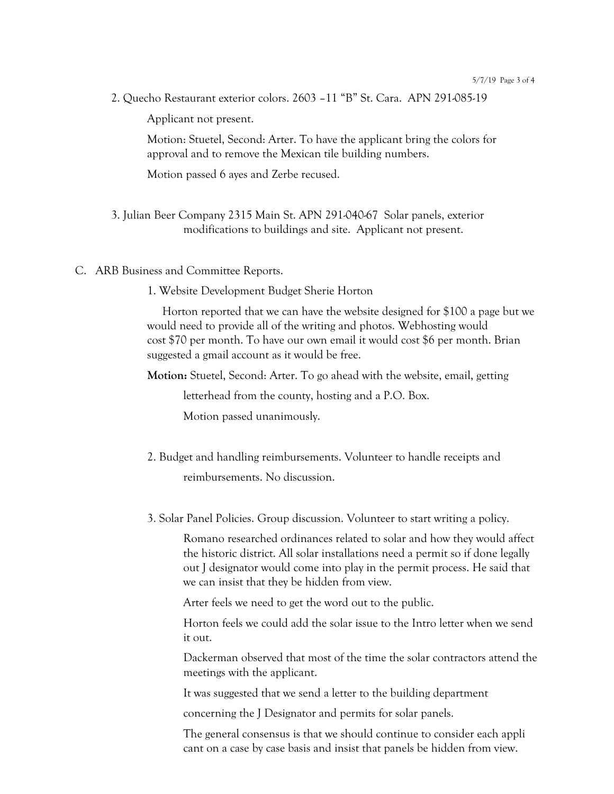2. Quecho Restaurant exterior colors. 2603 –11 "B" St. Cara. APN 291-085-19

Applicant not present.

Motion: Stuetel, Second: Arter. To have the applicant bring the colors for approval and to remove the Mexican tile building numbers.

Motion passed 6 ayes and Zerbe recused.

- 3. Julian Beer Company 2315 Main St. APN 291-040-67 Solar panels, exterior modifications to buildings and site. Applicant not present.
- C. ARB Business and Committee Reports.
	- 1. Website Development Budget Sherie Horton

 Horton reported that we can have the website designed for \$100 a page but we would need to provide all of the writing and photos. Webhosting would cost \$70 per month. To have our own email it would cost \$6 per month. Brian suggested a gmail account as it would be free.

**Motion:** Stuetel, Second: Arter. To go ahead with the website, email, getting

letterhead from the county, hosting and a P.O. Box.

Motion passed unanimously.

- 2. Budget and handling reimbursements. Volunteer to handle receipts and reimbursements. No discussion.
- 3. Solar Panel Policies. Group discussion. Volunteer to start writing a policy.

Romano researched ordinances related to solar and how they would affect the historic district. All solar installations need a permit so if done legally out J designator would come into play in the permit process. He said that we can insist that they be hidden from view.

Arter feels we need to get the word out to the public.

Horton feels we could add the solar issue to the Intro letter when we send it out.

Dackerman observed that most of the time the solar contractors attend the meetings with the applicant.

It was suggested that we send a letter to the building department

concerning the J Designator and permits for solar panels.

The general consensus is that we should continue to consider each appli cant on a case by case basis and insist that panels be hidden from view.